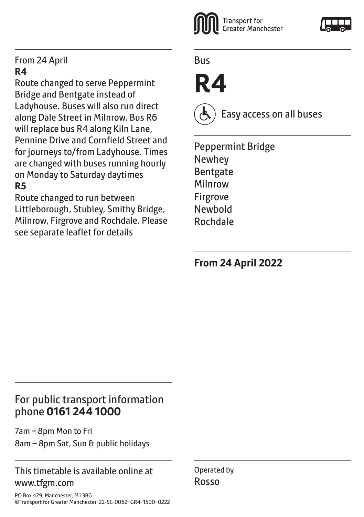#### From 24 April **R4**

Route changed to serve Peppermint Bridge and Bentgate instead of Ladyhouse. Buses will also run direct along Dale Street in Milnrow. Bus R6 will replace bus R4 along Kiln Lane, Pennine Drive and Cornfield Street and for journeys to/from Ladyhouse. Times are changed with buses running hourly on Monday to Saturday daytimes **R5**

Route changed to run between Littleborough, Stubley, Smithy Bridge, Milnrow, Firgrove and Rochdale. Please see separate leaflet for details



# **R4**



Bus

Easy access on all buses

Peppermint Bridge Newhey **Bentgate** Milnrow Firgrove Newbold Rochdale

**From 24 April 2022**

### For public transport information phone **0161 244 1000**

7am – 8pm Mon to Fri 8am – 8pm Sat, Sun & public holidays

#### This timetable is available online at www.tfgm.com

Operated by Rosso

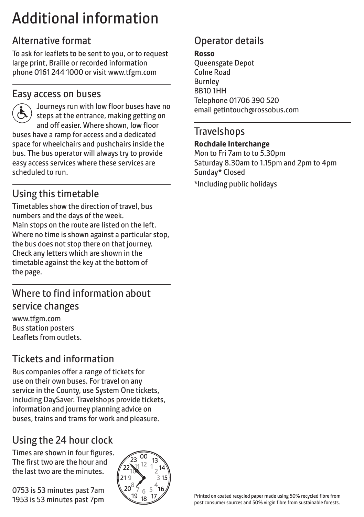## Additional information

## Alternative format

To ask for leaflets to be sent to you, or to request large print, Braille or recorded information phone 0161 244 1000 or visit www.tfgm.com

#### Easy access on buses



 Journeys run with low floor buses have no steps at the entrance, making getting on and off easier. Where shown, low floor buses have a ramp for access and a dedicated space for wheelchairs and pushchairs inside the bus. The bus operator will always try to provide easy access services where these services are scheduled to run.

## Using this timetable

Timetables show the direction of travel, bus numbers and the days of the week. Main stops on the route are listed on the left. Where no time is shown against a particular stop, the bus does not stop there on that journey. Check any letters which are shown in the timetable against the key at the bottom of the page.

## Where to find information about service changes

www.tfgm.com Bus station posters Leaflets from outlets.

## Tickets and information

Bus companies offer a range of tickets for use on their own buses. For travel on any service in the County, use System One tickets, including DaySaver. Travelshops provide tickets, information and journey planning advice on buses, trains and trams for work and pleasure.

## Using the 24 hour clock

Times are shown in four figures. The first two are the hour and the last two are the minutes.

0753 is 53 minutes past 7am 1953 is 53 minutes past 7pm



### Operator details

#### **Rosso**

Queensgate Depot Colne Road Burnley BB10 1HH Telephone 01706 390 520 email getintouch@rossobus.com

#### **Travelshops**

#### **Rochdale Interchange**

Mon to Fri 7am to to 5.30pm Saturday 8.30am to 1.15pm and 2pm to 4pm Sunday\* Closed

\*Including public holidays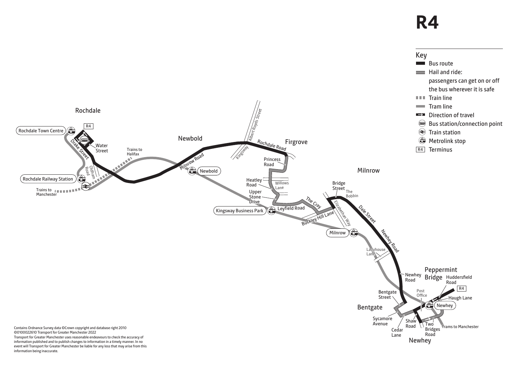## **R4**



information being inaccurate.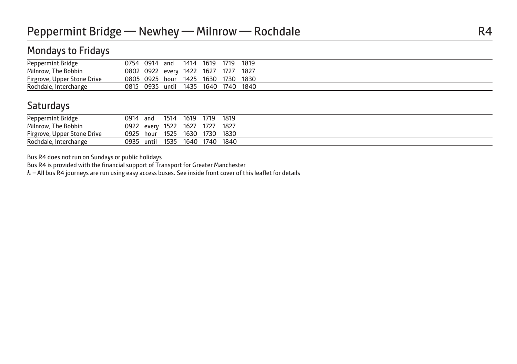#### Mondays to Fridays

| Peppermint Bridge           | 0754 0914 and                       |  | 1414 1619 1719 | 1819 |
|-----------------------------|-------------------------------------|--|----------------|------|
| Milnrow, The Bobbin         | 0802 0922 every 1422 1627 1727      |  |                | 1827 |
| Firgrove, Upper Stone Drive | 0805 0925 hour 1425 1630 1730 1830  |  |                |      |
| Rochdale, Interchange       | 0815 0935 until 1435 1640 1740 1840 |  |                |      |

#### **Saturdays**

|  | 0914 and |  | 1514 1619 1719 1819<br>0922 every 1522 1627 1727 1827<br>0925 hour 1525 1630 1730 1830<br>0935 until 1535 1640 1740 1840 |
|--|----------|--|--------------------------------------------------------------------------------------------------------------------------|

Bus R4 does not run on Sundays or public holidays

Bus R4 is provided with the financial support of Transport for Greater Manchester

& - All bus R4 journeys are run using easy access buses. See inside front cover of this leaflet for details